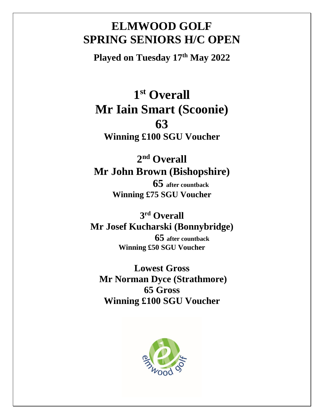#### **ELMWOOD GOLF SPRING SENIORS H/C OPEN**

**Played on Tuesday 17th May 2022**

# **1 st Overall Mr Iain Smart (Scoonie) 63**

**Winning £100 SGU Voucher**

### **2 nd Overall Mr John Brown (Bishopshire)**

**65 after countback Winning £75 SGU Voucher**

**3 rd Overall Mr Josef Kucharski (Bonnybridge) 65 after countback Winning £50 SGU Voucher**

**Lowest Gross Mr Norman Dyce (Strathmore) 65 Gross Winning £100 SGU Voucher**

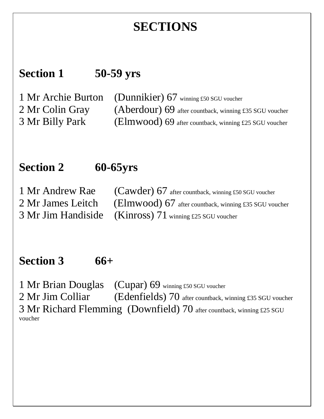## **SECTIONS**

### **Section 1 50-59 yrs**

1 Mr Archie Burton (Dunnikier) 67 winning £50 SGU voucher 2 Mr Colin Gray (Aberdour) 69 after countback, winning £35 SGU voucher 3 Mr Billy Park (Elmwood) 69 after countback, winning £25 SGU voucher

#### **Section 2 60-65yrs**

1 Mr Andrew Rae (Cawder) 67 after countback, winning £50 SGU voucher 2 Mr James Leitch (Elmwood) 67 after countback, winning £35 SGU voucher 3 Mr Jim Handiside (Kinross) 71 winning £25 SGU voucher

#### **Section 3 66+**

1 Mr Brian Douglas (Cupar) 69 winning £50 SGU voucher 2 Mr Jim Colliar (Edenfields) 70 after countback, winning £35 SGU voucher 3 Mr Richard Flemming (Downfield) 70 after countback, winning £25 SGU voucher